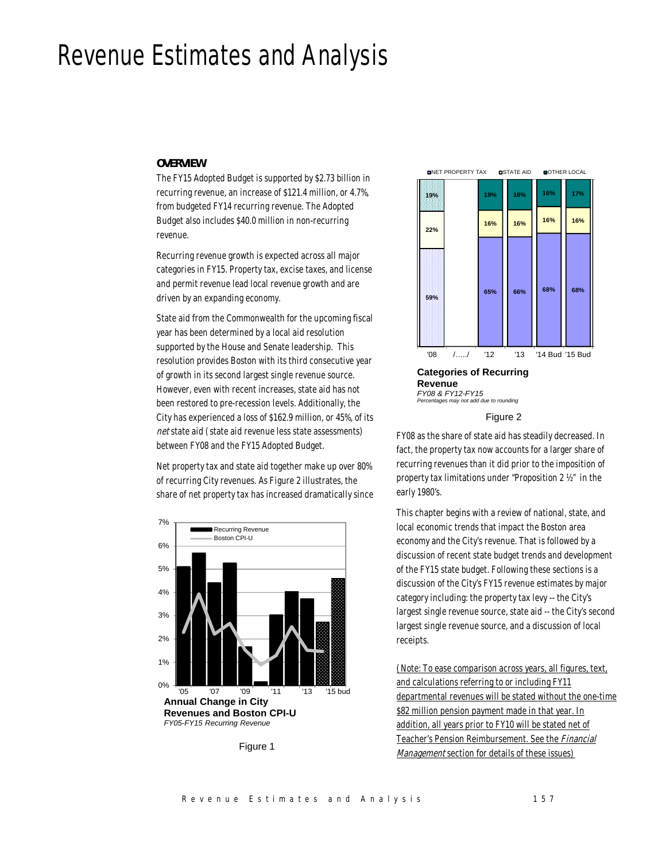# Revenue Estimates and Analysis

#### *OVERVIEW*

The FY15 Adopted Budget is supported by \$2.73 billion in recurring revenue, an increase of \$121.4 million, or 4.7%, from budgeted FY14 recurring revenue. The Adopted Budget also includes \$40.0 million in non-recurring revenue.

Recurring revenue growth is expected across all major categories in FY15. Property tax, excise taxes, and license and permit revenue lead local revenue growth and are driven by an expanding economy.

State aid from the Commonwealth for the upcoming fiscal year has been determined by a local aid resolution supported by the House and Senate leadership. This resolution provides Boston with its third consecutive year of growth in its second largest single revenue source. However, even with recent increases, state aid has not been restored to pre-recession levels. Additionally, the City has experienced a loss of \$162.9 million, or 45%, of its net state aid (state aid revenue less state assessments) between FY08 and the FY15 Adopted Budget.

Net property tax and state aid together make up over 80% of recurring City revenues. As Figure 2 illustrates, the share of net property tax has increased dramatically since



Figure 1



**Categories of Recurring Revenue** *FY08 & FY12-FY15 Percentages may not add due to rounding*

#### Figure 2

FY08 as the share of state aid has steadily decreased. In fact, the property tax now accounts for a larger share of recurring revenues than it did prior to the imposition of property tax limitations under "Proposition 2 ½" in the early 1980's.

This chapter begins with a review of national, state, and local economic trends that impact the Boston area economy and the City's revenue. That is followed by a discussion of recent state budget trends and development of the FY15 state budget. Following these sections is a discussion of the City's FY15 revenue estimates by major category including: the property tax levy -- the City's largest single revenue source, state aid -- the City's second largest single revenue source, and a discussion of local receipts.

(Note: To ease comparison across years, all figures, text, and calculations referring to or including FY11 departmental revenues will be stated without the one-time \$82 million pension payment made in that year. In addition, all years prior to FY10 will be stated net of Teacher's Pension Reimbursement. See the Financial Management section for details of these issues)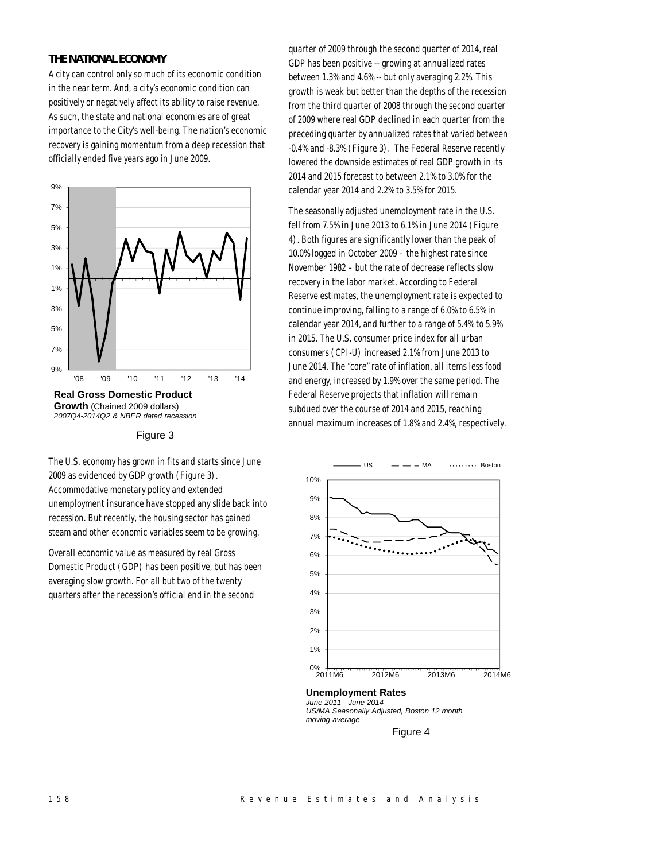# *THE NATIONAL ECONOMY*

A city can control only so much of its economic condition in the near term. And, a city's economic condition can positively or negatively affect its ability to raise revenue. As such, the state and national economies are of great importance to the City's well-being. The nation's economic recovery is gaining momentum from a deep recession that officially ended five years ago in June 2009.





The U.S. economy has grown in fits and starts since June 2009 as evidenced by GDP growth (Figure 3). Accommodative monetary policy and extended unemployment insurance have stopped any slide back into recession. But recently, the housing sector has gained steam and other economic variables seem to be growing.

Overall economic value as measured by real Gross Domestic Product (GDP) has been positive, but has been averaging slow growth. For all but two of the twenty quarters after the recession's official end in the second

quarter of 2009 through the second quarter of 2014, real GDP has been positive -- growing at annualized rates between 1.3% and 4.6% -- but only averaging 2.2%. This growth is weak but better than the depths of the recession from the third quarter of 2008 through the second quarter of 2009 where real GDP declined in each quarter from the preceding quarter by annualized rates that varied between -0.4% and -8.3% (Figure 3). The Federal Reserve recently lowered the downside estimates of real GDP growth in its 2014 and 2015 forecast to between 2.1% to 3.0% for the calendar year 2014 and 2.2% to 3.5% for 2015.

The seasonally adjusted unemployment rate in the U.S. fell from 7.5% in June 2013 to 6.1% in June 2014 (Figure 4). Both figures are significantly lower than the peak of 10.0% logged in October 2009 – the highest rate since November 1982 – but the rate of decrease reflects slow recovery in the labor market. According to Federal Reserve estimates, the unemployment rate is expected to continue improving, falling to a range of 6.0% to 6.5% in calendar year 2014, and further to a range of 5.4% to 5.9% in 2015. The U.S. consumer price index for all urban consumers (CPI-U) increased 2.1% from June 2013 to June 2014. The "core" rate of inflation, all items less food and energy, increased by 1.9% over the same period. The Federal Reserve projects that inflation will remain subdued over the course of 2014 and 2015, reaching annual maximum increases of 1.8% and 2.4%, respectively.



**Unemployment Rates**  *June 2011 - June 2014 US/MA Seasonally Adjusted, Boston 12 month moving average* 

Figure 4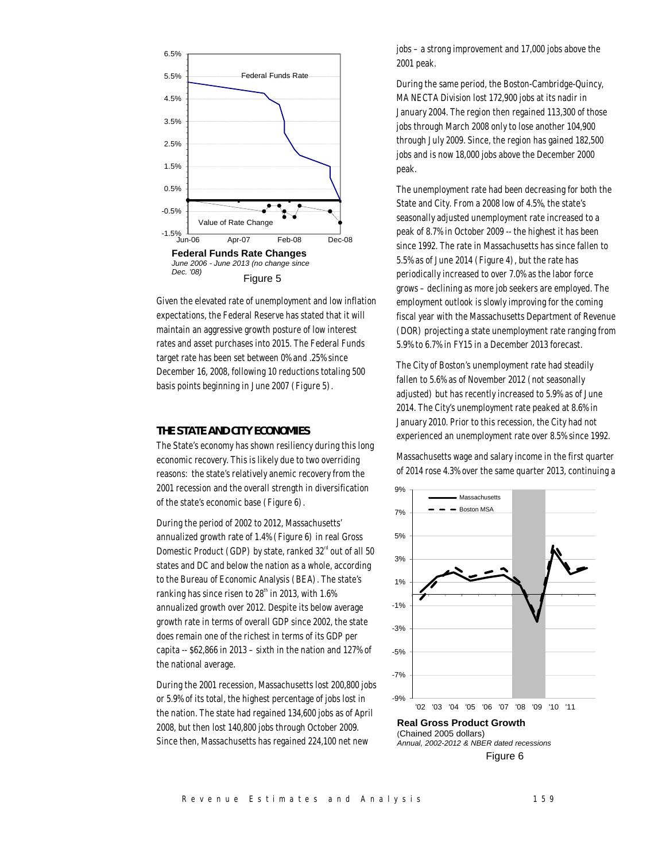

Given the elevated rate of unemployment and low inflation expectations, the Federal Reserve has stated that it will maintain an aggressive growth posture of low interest rates and asset purchases into 2015. The Federal Funds target rate has been set between 0% and .25% since December 16, 2008, following 10 reductions totaling 500 basis points beginning in June 2007 (Figure 5).

#### *THE STATE AND CITY ECONOMIES*

The State's economy has shown resiliency during this long economic recovery. This is likely due to two overriding reasons: the state's relatively anemic recovery from the 2001 recession and the overall strength in diversification of the state's economic base (Figure 6).

During the period of 2002 to 2012, Massachusetts' annualized growth rate of 1.4% (Figure 6) in real Gross Domestic Product (GDP) by state, ranked  $32<sup>rd</sup>$  out of all 50 states and DC and below the nation as a whole, according to the Bureau of Economic Analysis (BEA). The state's ranking has since risen to  $28<sup>th</sup>$  in 2013, with 1.6% annualized growth over 2012. Despite its below average growth rate in terms of overall GDP since 2002, the state does remain one of the richest in terms of its GDP per capita -- \$62,866 in 2013 – sixth in the nation and 127% of the national average.

During the 2001 recession, Massachusetts lost 200,800 jobs or 5.9% of its total, the highest percentage of jobs lost in the nation. The state had regained 134,600 jobs as of April 2008, but then lost 140,800 jobs through October 2009. Since then, Massachusetts has regained 224,100 net new

jobs – a strong improvement and 17,000 jobs above the 2001 peak.

During the same period, the Boston-Cambridge-Quincy, MA NECTA Division lost 172,900 jobs at its nadir in January 2004. The region then regained 113,300 of those jobs through March 2008 only to lose another 104,900 through July 2009. Since, the region has gained 182,500 jobs and is now 18,000 jobs above the December 2000 peak.

The unemployment rate had been decreasing for both the State and City. From a 2008 low of 4.5%, the state's seasonally adjusted unemployment rate increased to a peak of 8.7% in October 2009 -- the highest it has been since 1992. The rate in Massachusetts has since fallen to 5.5% as of June 2014 (Figure 4), but the rate has periodically increased to over 7.0% as the labor force grows – declining as more job seekers are employed. The employment outlook is slowly improving for the coming fiscal year with the Massachusetts Department of Revenue (DOR) projecting a state unemployment rate ranging from 5.9% to 6.7% in FY15 in a December 2013 forecast.

The City of Boston's unemployment rate had steadily fallen to 5.6% as of November 2012 (not seasonally adjusted) but has recently increased to 5.9% as of June 2014. The City's unemployment rate peaked at 8.6% in January 2010. Prior to this recession, the City had not experienced an unemployment rate over 8.5% since 1992.

Massachusetts wage and salary income in the first quarter of 2014 rose 4.3% over the same quarter 2013, continuing a

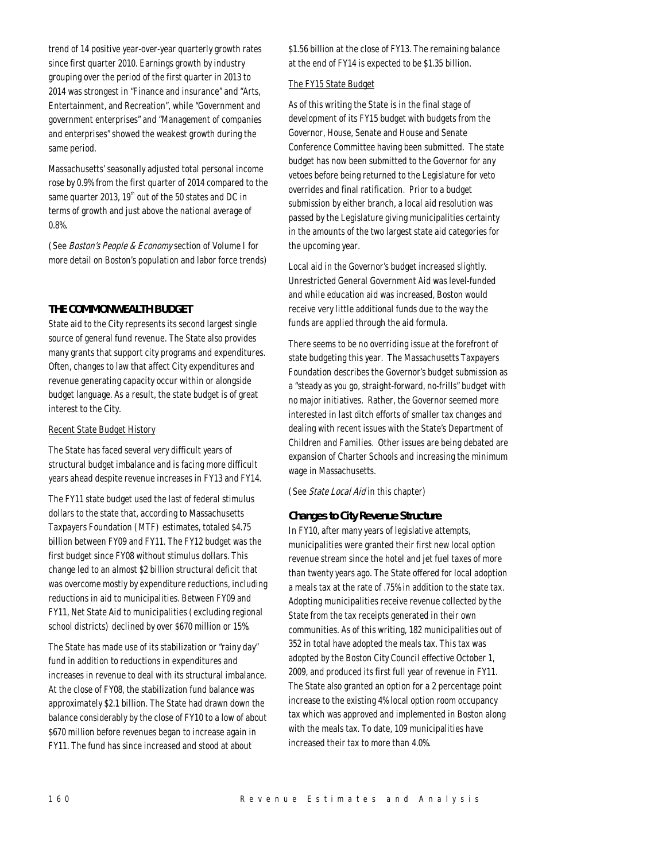trend of 14 positive year-over-year quarterly growth rates since first quarter 2010. Earnings growth by industry grouping over the period of the first quarter in 2013 to 2014 was strongest in "Finance and insurance" and "Arts, Entertainment, and Recreation", while "Government and government enterprises" and "Management of companies and enterprises" showed the weakest growth during the same period.

Massachusetts' seasonally adjusted total personal income rose by 0.9% from the first quarter of 2014 compared to the same quarter 2013,  $19<sup>th</sup>$  out of the 50 states and DC in terms of growth and just above the national average of 0.8%.

(See Boston's People & Economy section of Volume I for more detail on Boston's population and labor force trends)

# *THE COMMONWEALTH BUDGET*

State aid to the City represents its second largest single source of general fund revenue. The State also provides many grants that support city programs and expenditures. Often, changes to law that affect City expenditures and revenue generating capacity occur within or alongside budget language. As a result, the state budget is of great interest to the City.

# Recent State Budget History

The State has faced several very difficult years of structural budget imbalance and is facing more difficult years ahead despite revenue increases in FY13 and FY14.

The FY11 state budget used the last of federal stimulus dollars to the state that, according to Massachusetts Taxpayers Foundation (MTF) estimates, totaled \$4.75 billion between FY09 and FY11. The FY12 budget was the first budget since FY08 without stimulus dollars. This change led to an almost \$2 billion structural deficit that was overcome mostly by expenditure reductions, including reductions in aid to municipalities. Between FY09 and FY11, Net State Aid to municipalities (excluding regional school districts) declined by over \$670 million or 15%.

The State has made use of its stabilization or "rainy day" fund in addition to reductions in expenditures and increases in revenue to deal with its structural imbalance. At the close of FY08, the stabilization fund balance was approximately \$2.1 billion. The State had drawn down the balance considerably by the close of FY10 to a low of about \$670 million before revenues began to increase again in FY11. The fund has since increased and stood at about

\$1.56 billion at the close of FY13. The remaining balance at the end of FY14 is expected to be \$1.35 billion.

# The FY15 State Budget

As of this writing the State is in the final stage of development of its FY15 budget with budgets from the Governor, House, Senate and House and Senate Conference Committee having been submitted. The state budget has now been submitted to the Governor for any vetoes before being returned to the Legislature for veto overrides and final ratification. Prior to a budget submission by either branch, a local aid resolution was passed by the Legislature giving municipalities certainty in the amounts of the two largest state aid categories for the upcoming year.

Local aid in the Governor's budget increased slightly. Unrestricted General Government Aid was level-funded and while education aid was increased, Boston would receive very little additional funds due to the way the funds are applied through the aid formula.

There seems to be no overriding issue at the forefront of state budgeting this year. The Massachusetts Taxpayers Foundation describes the Governor's budget submission as a "steady as you go, straight-forward, no-frills" budget with no major initiatives. Rather, the Governor seemed more interested in last ditch efforts of smaller tax changes and dealing with recent issues with the State's Department of Children and Families. Other issues are being debated are expansion of Charter Schools and increasing the minimum wage in Massachusetts.

(See *State Local Aid* in this chapter)

# *Changes to City Revenue Structure*

In FY10, after many years of legislative attempts, municipalities were granted their first new local option revenue stream since the hotel and jet fuel taxes of more than twenty years ago. The State offered for local adoption a meals tax at the rate of .75% in addition to the state tax. Adopting municipalities receive revenue collected by the State from the tax receipts generated in their own communities. As of this writing, 182 municipalities out of 352 in total have adopted the meals tax. This tax was adopted by the Boston City Council effective October 1, 2009, and produced its first full year of revenue in FY11. The State also granted an option for a 2 percentage point increase to the existing 4% local option room occupancy tax which was approved and implemented in Boston along with the meals tax. To date, 109 municipalities have increased their tax to more than 4.0%.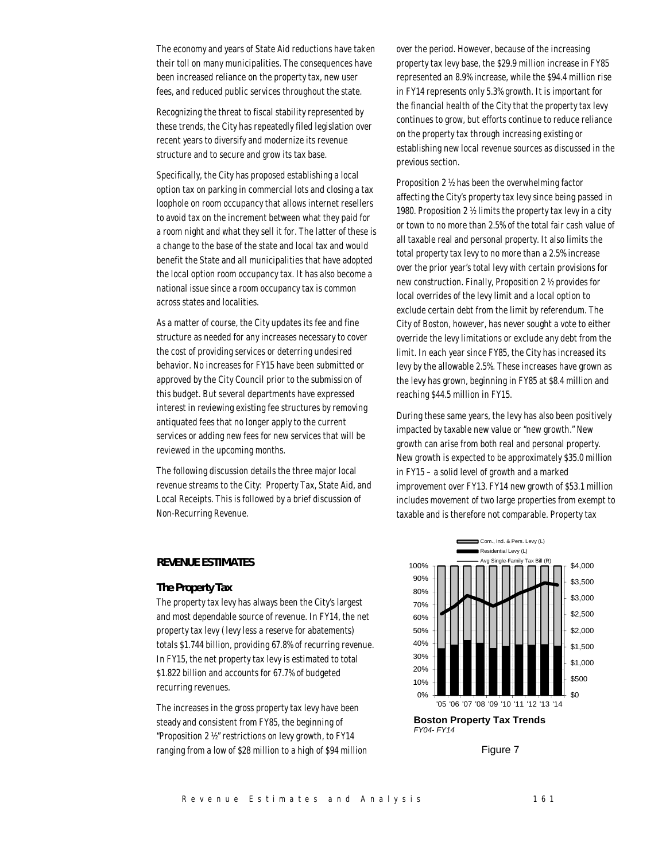The economy and years of State Aid reductions have taken their toll on many municipalities. The consequences have been increased reliance on the property tax, new user fees, and reduced public services throughout the state.

Recognizing the threat to fiscal stability represented by these trends, the City has repeatedly filed legislation over recent years to diversify and modernize its revenue structure and to secure and grow its tax base.

Specifically, the City has proposed establishing a local option tax on parking in commercial lots and closing a tax loophole on room occupancy that allows internet resellers to avoid tax on the increment between what they paid for a room night and what they sell it for. The latter of these is a change to the base of the state and local tax and would benefit the State and all municipalities that have adopted the local option room occupancy tax. It has also become a national issue since a room occupancy tax is common across states and localities.

As a matter of course, the City updates its fee and fine structure as needed for any increases necessary to cover the cost of providing services or deterring undesired behavior. No increases for FY15 have been submitted or approved by the City Council prior to the submission of this budget. But several departments have expressed interest in reviewing existing fee structures by removing antiquated fees that no longer apply to the current services or adding new fees for new services that will be reviewed in the upcoming months.

The following discussion details the three major local revenue streams to the City: Property Tax, State Aid, and Local Receipts. This is followed by a brief discussion of Non-Recurring Revenue.

# *REVENUE ESTIMATES*

#### *The Property Tax*

The property tax levy has always been the City's largest and most dependable source of revenue. In FY14, the net property tax levy (levy less a reserve for abatements) totals \$1.744 billion, providing 67.8% of recurring revenue. In FY15, the net property tax levy is estimated to total \$1.822 billion and accounts for 67.7% of budgeted recurring revenues.

The increases in the gross property tax levy have been steady and consistent from FY85, the beginning of "Proposition 2 ½" restrictions on levy growth, to FY14 ranging from a low of \$28 million to a high of \$94 million over the period. However, because of the increasing property tax levy base, the \$29.9 million increase in FY85 represented an 8.9% increase, while the \$94.4 million rise in FY14 represents only 5.3% growth. It is important for the financial health of the City that the property tax levy continues to grow, but efforts continue to reduce reliance on the property tax through increasing existing or establishing new local revenue sources as discussed in the previous section.

Proposition 2 ½ has been the overwhelming factor affecting the City's property tax levy since being passed in 1980. Proposition 2 ½ limits the property tax levy in a city or town to no more than 2.5% of the total fair cash value of all taxable real and personal property. It also limits the total property tax levy to no more than a 2.5% increase over the prior year's total levy with certain provisions for new construction. Finally, Proposition 2 ½ provides for local overrides of the levy limit and a local option to exclude certain debt from the limit by referendum. The City of Boston, however, has never sought a vote to either override the levy limitations or exclude any debt from the limit. In each year since FY85, the City has increased its levy by the allowable 2.5%. These increases have grown as the levy has grown, beginning in FY85 at \$8.4 million and reaching \$44.5 million in FY15.

During these same years, the levy has also been positively impacted by taxable new value or "new growth." New growth can arise from both real and personal property. New growth is expected to be approximately \$35.0 million in FY15 – a solid level of growth and a marked improvement over FY13. FY14 new growth of \$53.1 million includes movement of two large properties from exempt to taxable and is therefore not comparable. Property tax



Figure 7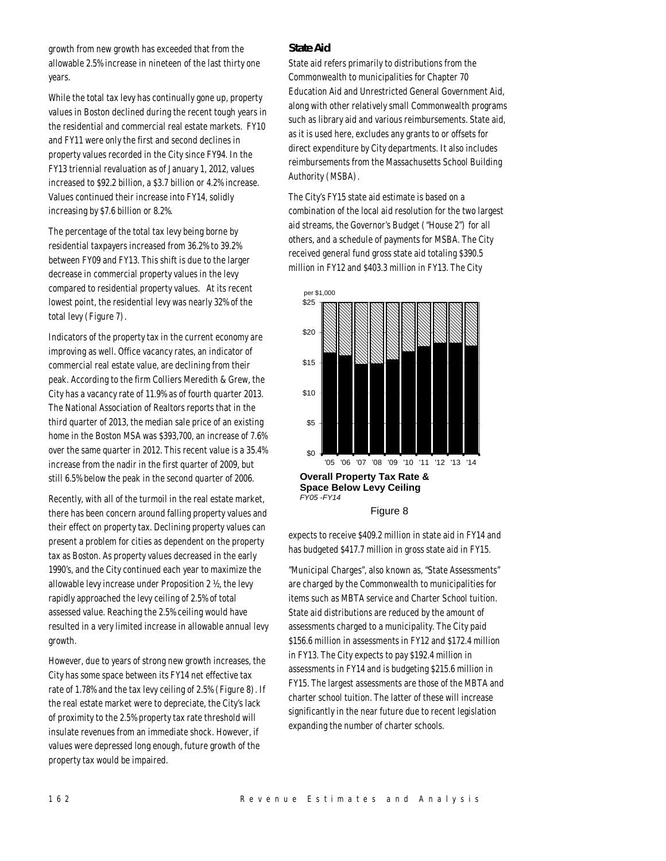growth from new growth has exceeded that from the allowable 2.5% increase in nineteen of the last thirty one years.

While the total tax levy has continually gone up, property values in Boston declined during the recent tough years in the residential and commercial real estate markets. FY10 and FY11 were only the first and second declines in property values recorded in the City since FY94. In the FY13 triennial revaluation as of January 1, 2012, values increased to \$92.2 billion, a \$3.7 billion or 4.2% increase. Values continued their increase into FY14, solidly increasing by \$7.6 billion or 8.2%.

The percentage of the total tax levy being borne by residential taxpayers increased from 36.2% to 39.2% between FY09 and FY13. This shift is due to the larger decrease in commercial property values in the levy compared to residential property values. At its recent lowest point, the residential levy was nearly 32% of the total levy (Figure 7).

Indicators of the property tax in the current economy are improving as well. Office vacancy rates, an indicator of commercial real estate value, are declining from their peak. According to the firm Colliers Meredith & Grew, the City has a vacancy rate of 11.9% as of fourth quarter 2013. The National Association of Realtors reports that in the third quarter of 2013, the median sale price of an existing home in the Boston MSA was \$393,700, an increase of 7.6% over the same quarter in 2012. This recent value is a 35.4% increase from the nadir in the first quarter of 2009, but still 6.5% below the peak in the second quarter of 2006.

Recently, with all of the turmoil in the real estate market, there has been concern around falling property values and their effect on property tax. Declining property values can present a problem for cities as dependent on the property tax as Boston. As property values decreased in the early 1990's, and the City continued each year to maximize the allowable levy increase under Proposition 2 ½, the levy rapidly approached the levy ceiling of 2.5% of total assessed value. Reaching the 2.5% ceiling would have resulted in a very limited increase in allowable annual levy growth.

However, due to years of strong new growth increases, the City has some space between its FY14 net effective tax rate of 1.78% and the tax levy ceiling of 2.5% (Figure 8). If the real estate market were to depreciate, the City's lack of proximity to the 2.5% property tax rate threshold will insulate revenues from an immediate shock. However, if values were depressed long enough, future growth of the property tax would be impaired.

# *State Aid*

State aid refers primarily to distributions from the Commonwealth to municipalities for Chapter 70 Education Aid and Unrestricted General Government Aid, along with other relatively small Commonwealth programs such as library aid and various reimbursements. State aid, as it is used here, excludes any grants to or offsets for direct expenditure by City departments. It also includes reimbursements from the Massachusetts School Building Authority (MSBA).

The City's FY15 state aid estimate is based on a combination of the local aid resolution for the two largest aid streams, the Governor's Budget ("House 2") for all others, and a schedule of payments for MSBA. The City received general fund gross state aid totaling \$390.5 million in FY12 and \$403.3 million in FY13. The City



expects to receive \$409.2 million in state aid in FY14 and has budgeted \$417.7 million in gross state aid in FY15.

"Municipal Charges", also known as, "State Assessments" are charged by the Commonwealth to municipalities for items such as MBTA service and Charter School tuition. State aid distributions are reduced by the amount of assessments charged to a municipality. The City paid \$156.6 million in assessments in FY12 and \$172.4 million in FY13. The City expects to pay \$192.4 million in assessments in FY14 and is budgeting \$215.6 million in FY15. The largest assessments are those of the MBTA and charter school tuition. The latter of these will increase significantly in the near future due to recent legislation expanding the number of charter schools.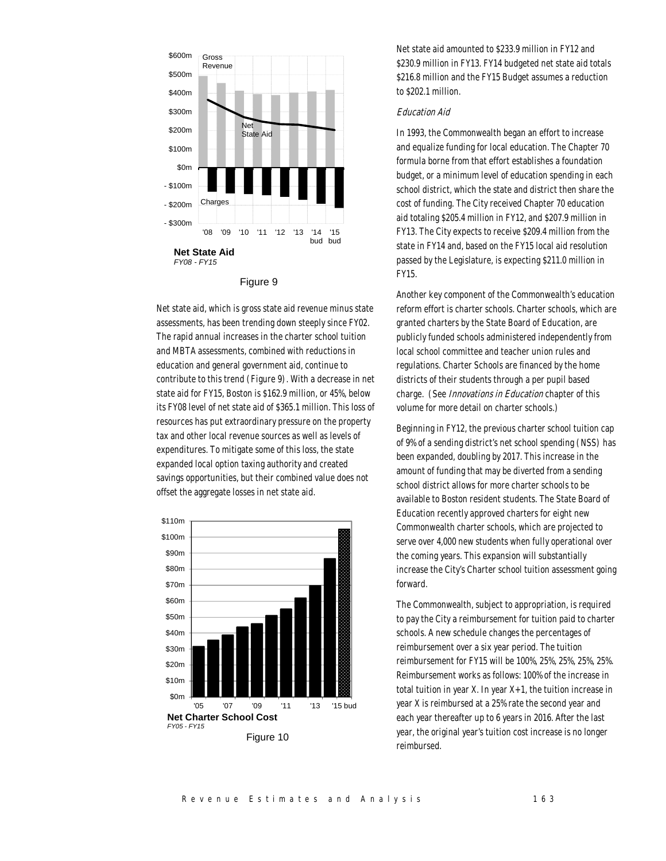

Figure 9

Net state aid, which is gross state aid revenue minus state assessments, has been trending down steeply since FY02. The rapid annual increases in the charter school tuition and MBTA assessments, combined with reductions in education and general government aid, continue to contribute to this trend (Figure 9). With a decrease in net state aid for FY15, Boston is \$162.9 million, or 45%, below its FY08 level of net state aid of \$365.1 million. This loss of resources has put extraordinary pressure on the property tax and other local revenue sources as well as levels of expenditures. To mitigate some of this loss, the state expanded local option taxing authority and created savings opportunities, but their combined value does not offset the aggregate losses in net state aid.



Net state aid amounted to \$233.9 million in FY12 and \$230.9 million in FY13. FY14 budgeted net state aid totals \$216.8 million and the FY15 Budget assumes a reduction to \$202.1 million.

#### Education Aid

In 1993, the Commonwealth began an effort to increase and equalize funding for local education. The Chapter 70 formula borne from that effort establishes a foundation budget, or a minimum level of education spending in each school district, which the state and district then share the cost of funding. The City received Chapter 70 education aid totaling \$205.4 million in FY12, and \$207.9 million in FY13. The City expects to receive \$209.4 million from the state in FY14 and, based on the FY15 local aid resolution passed by the Legislature, is expecting \$211.0 million in FY15.

Another key component of the Commonwealth's education reform effort is charter schools. Charter schools, which are granted charters by the State Board of Education, are publicly funded schools administered independently from local school committee and teacher union rules and regulations. Charter Schools are financed by the home districts of their students through a per pupil based charge. (See *Innovations in Education* chapter of this volume for more detail on charter schools.)

Beginning in FY12, the previous charter school tuition cap of 9% of a sending district's net school spending (NSS) has been expanded, doubling by 2017. This increase in the amount of funding that may be diverted from a sending school district allows for more charter schools to be available to Boston resident students. The State Board of Education recently approved charters for eight new Commonwealth charter schools, which are projected to serve over 4,000 new students when fully operational over the coming years. This expansion will substantially increase the City's Charter school tuition assessment going forward.

The Commonwealth, subject to appropriation, is required to pay the City a reimbursement for tuition paid to charter schools. A new schedule changes the percentages of reimbursement over a six year period. The tuition reimbursement for FY15 will be 100%, 25%, 25%, 25%, 25%. Reimbursement works as follows: 100% of the increase in total tuition in year X. In year X+1, the tuition increase in year X is reimbursed at a 25% rate the second year and each year thereafter up to 6 years in 2016. After the last year, the original year's tuition cost increase is no longer reimbursed.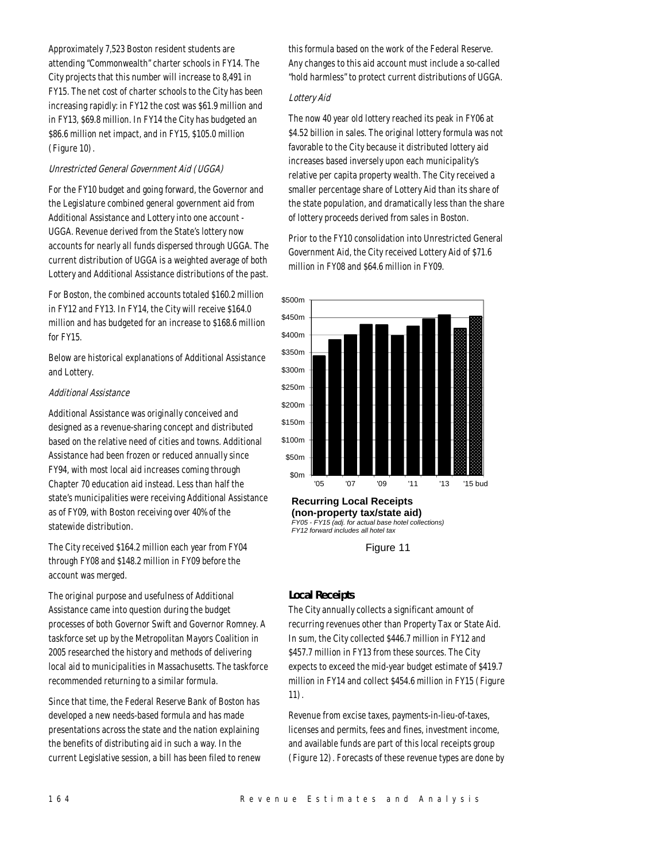Approximately 7,523 Boston resident students are attending "Commonwealth" charter schools in FY14. The City projects that this number will increase to 8,491 in FY15. The net cost of charter schools to the City has been increasing rapidly: in FY12 the cost was \$61.9 million and in FY13, \$69.8 million. In FY14 the City has budgeted an \$86.6 million net impact, and in FY15, \$105.0 million (Figure 10).

# Unrestricted General Government Aid (UGGA)

For the FY10 budget and going forward, the Governor and the Legislature combined general government aid from Additional Assistance and Lottery into one account - UGGA. Revenue derived from the State's lottery now accounts for nearly all funds dispersed through UGGA. The current distribution of UGGA is a weighted average of both Lottery and Additional Assistance distributions of the past.

For Boston, the combined accounts totaled \$160.2 million in FY12 and FY13. In FY14, the City will receive \$164.0 million and has budgeted for an increase to \$168.6 million for FY15.

Below are historical explanations of Additional Assistance and Lottery.

# Additional Assistance

Additional Assistance was originally conceived and designed as a revenue-sharing concept and distributed based on the relative need of cities and towns. Additional Assistance had been frozen or reduced annually since FY94, with most local aid increases coming through Chapter 70 education aid instead. Less than half the state's municipalities were receiving Additional Assistance as of FY09, with Boston receiving over 40% of the statewide distribution.

The City received \$164.2 million each year from FY04 through FY08 and \$148.2 million in FY09 before the account was merged.

The original purpose and usefulness of Additional Assistance came into question during the budget processes of both Governor Swift and Governor Romney. A taskforce set up by the Metropolitan Mayors Coalition in 2005 researched the history and methods of delivering local aid to municipalities in Massachusetts. The taskforce recommended returning to a similar formula.

Since that time, the Federal Reserve Bank of Boston has developed a new needs-based formula and has made presentations across the state and the nation explaining the benefits of distributing aid in such a way. In the current Legislative session, a bill has been filed to renew this formula based on the work of the Federal Reserve. Any changes to this aid account must include a so-called "hold harmless" to protect current distributions of UGGA.

# Lottery Aid

The now 40 year old lottery reached its peak in FY06 at \$4.52 billion in sales. The original lottery formula was not favorable to the City because it distributed lottery aid increases based inversely upon each municipality's relative per capita property wealth. The City received a smaller percentage share of Lottery Aid than its share of the state population, and dramatically less than the share of lottery proceeds derived from sales in Boston.

Prior to the FY10 consolidation into Unrestricted General Government Aid, the City received Lottery Aid of \$71.6 million in FY08 and \$64.6 million in FY09.



**Recurring Local Receipts (non-property tax/state aid)**  *FY05 - FY15 (adj. for actual base hotel collections) FY12 forward includes all hotel tax*



#### *Local Receipts*

The City annually collects a significant amount of recurring revenues other than Property Tax or State Aid. In sum, the City collected \$446.7 million in FY12 and \$457.7 million in FY13 from these sources. The City expects to exceed the mid-year budget estimate of \$419.7 million in FY14 and collect \$454.6 million in FY15 (Figure 11).

Revenue from excise taxes, payments-in-lieu-of-taxes, licenses and permits, fees and fines, investment income, and available funds are part of this local receipts group (Figure 12). Forecasts of these revenue types are done by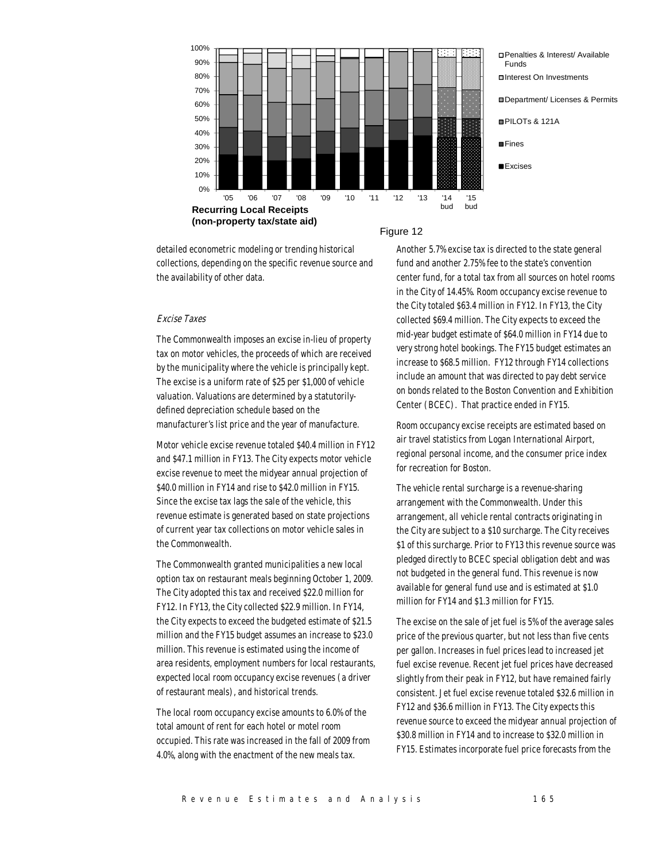

detailed econometric modeling or trending historical collections, depending on the specific revenue source and the availability of other data.

#### Excise Taxes

The Commonwealth imposes an excise in-lieu of property tax on motor vehicles, the proceeds of which are received by the municipality where the vehicle is principally kept. The excise is a uniform rate of \$25 per \$1,000 of vehicle valuation. Valuations are determined by a statutorilydefined depreciation schedule based on the manufacturer's list price and the year of manufacture.

Motor vehicle excise revenue totaled \$40.4 million in FY12 and \$47.1 million in FY13. The City expects motor vehicle excise revenue to meet the midyear annual projection of \$40.0 million in FY14 and rise to \$42.0 million in FY15. Since the excise tax lags the sale of the vehicle, this revenue estimate is generated based on state projections of current year tax collections on motor vehicle sales in the Commonwealth.

The Commonwealth granted municipalities a new local option tax on restaurant meals beginning October 1, 2009. The City adopted this tax and received \$22.0 million for FY12. In FY13, the City collected \$22.9 million. In FY14, the City expects to exceed the budgeted estimate of \$21.5 million and the FY15 budget assumes an increase to \$23.0 million. This revenue is estimated using the income of area residents, employment numbers for local restaurants, expected local room occupancy excise revenues (a driver of restaurant meals), and historical trends.

The local room occupancy excise amounts to 6.0% of the total amount of rent for each hotel or motel room occupied. This rate was increased in the fall of 2009 from 4.0%, along with the enactment of the new meals tax.

Another 5.7% excise tax is directed to the state general fund and another 2.75% fee to the state's convention center fund, for a total tax from all sources on hotel rooms in the City of 14.45%. Room occupancy excise revenue to the City totaled \$63.4 million in FY12. In FY13, the City collected \$69.4 million. The City expects to exceed the mid-year budget estimate of \$64.0 million in FY14 due to very strong hotel bookings. The FY15 budget estimates an increase to \$68.5 million. FY12 through FY14 collections include an amount that was directed to pay debt service on bonds related to the Boston Convention and Exhibition Center (BCEC). That practice ended in FY15.

Room occupancy excise receipts are estimated based on air travel statistics from Logan International Airport, regional personal income, and the consumer price index for recreation for Boston.

The vehicle rental surcharge is a revenue-sharing arrangement with the Commonwealth. Under this arrangement, all vehicle rental contracts originating in the City are subject to a \$10 surcharge. The City receives \$1 of this surcharge. Prior to FY13 this revenue source was pledged directly to BCEC special obligation debt and was not budgeted in the general fund. This revenue is now available for general fund use and is estimated at \$1.0 million for FY14 and \$1.3 million for FY15.

The excise on the sale of jet fuel is 5% of the average sales price of the previous quarter, but not less than five cents per gallon. Increases in fuel prices lead to increased jet fuel excise revenue. Recent jet fuel prices have decreased slightly from their peak in FY12, but have remained fairly consistent. Jet fuel excise revenue totaled \$32.6 million in FY12 and \$36.6 million in FY13. The City expects this revenue source to exceed the midyear annual projection of \$30.8 million in FY14 and to increase to \$32.0 million in FY15. Estimates incorporate fuel price forecasts from the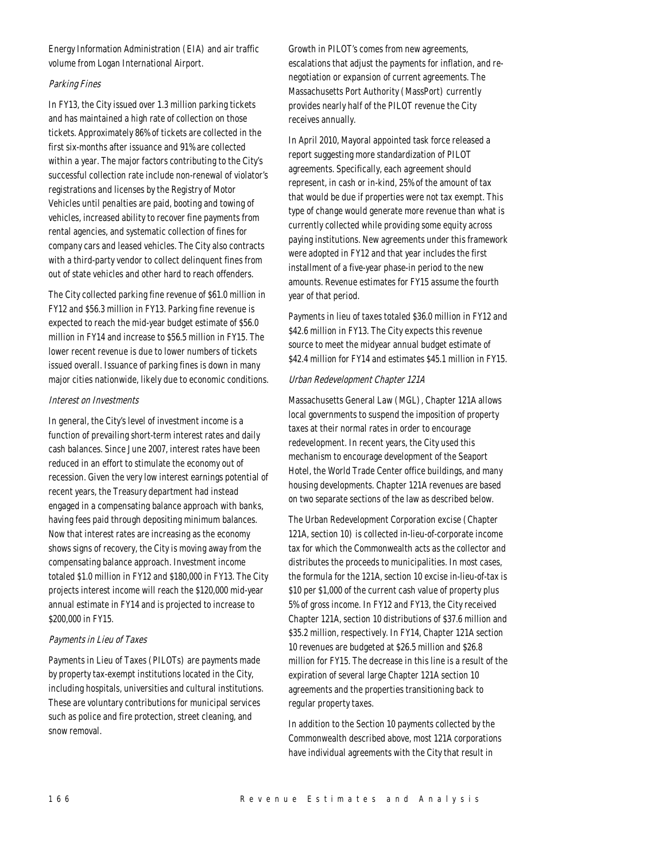Energy Information Administration (EIA) and air traffic volume from Logan International Airport.

# Parking Fines

In FY13, the City issued over 1.3 million parking tickets and has maintained a high rate of collection on those tickets. Approximately 86% of tickets are collected in the first six-months after issuance and 91% are collected within a year. The major factors contributing to the City's successful collection rate include non-renewal of violator's registrations and licenses by the Registry of Motor Vehicles until penalties are paid, booting and towing of vehicles, increased ability to recover fine payments from rental agencies, and systematic collection of fines for company cars and leased vehicles. The City also contracts with a third-party vendor to collect delinquent fines from out of state vehicles and other hard to reach offenders.

The City collected parking fine revenue of \$61.0 million in FY12 and \$56.3 million in FY13. Parking fine revenue is expected to reach the mid-year budget estimate of \$56.0 million in FY14 and increase to \$56.5 million in FY15. The lower recent revenue is due to lower numbers of tickets issued overall. Issuance of parking fines is down in many major cities nationwide, likely due to economic conditions.

#### Interest on Investments

In general, the City's level of investment income is a function of prevailing short-term interest rates and daily cash balances. Since June 2007, interest rates have been reduced in an effort to stimulate the economy out of recession. Given the very low interest earnings potential of recent years, the Treasury department had instead engaged in a compensating balance approach with banks, having fees paid through depositing minimum balances. Now that interest rates are increasing as the economy shows signs of recovery, the City is moving away from the compensating balance approach. Investment income totaled \$1.0 million in FY12 and \$180,000 in FY13. The City projects interest income will reach the \$120,000 mid-year annual estimate in FY14 and is projected to increase to \$200,000 in FY15.

#### Payments in Lieu of Taxes

Payments in Lieu of Taxes (PILOTs) are payments made by property tax-exempt institutions located in the City, including hospitals, universities and cultural institutions. These are voluntary contributions for municipal services such as police and fire protection, street cleaning, and snow removal.

Growth in PILOT's comes from new agreements, escalations that adjust the payments for inflation, and renegotiation or expansion of current agreements. The Massachusetts Port Authority (MassPort) currently provides nearly half of the PILOT revenue the City receives annually.

In April 2010, Mayoral appointed task force released a report suggesting more standardization of PILOT agreements. Specifically, each agreement should represent, in cash or in-kind, 25% of the amount of tax that would be due if properties were not tax exempt. This type of change would generate more revenue than what is currently collected while providing some equity across paying institutions. New agreements under this framework were adopted in FY12 and that year includes the first installment of a five-year phase-in period to the new amounts. Revenue estimates for FY15 assume the fourth year of that period.

Payments in lieu of taxes totaled \$36.0 million in FY12 and \$42.6 million in FY13. The City expects this revenue source to meet the midyear annual budget estimate of \$42.4 million for FY14 and estimates \$45.1 million in FY15.

# Urban Redevelopment Chapter 121A

Massachusetts General Law (MGL), Chapter 121A allows local governments to suspend the imposition of property taxes at their normal rates in order to encourage redevelopment. In recent years, the City used this mechanism to encourage development of the Seaport Hotel, the World Trade Center office buildings, and many housing developments. Chapter 121A revenues are based on two separate sections of the law as described below.

The Urban Redevelopment Corporation excise (Chapter 121A, section 10) is collected in-lieu-of-corporate income tax for which the Commonwealth acts as the collector and distributes the proceeds to municipalities. In most cases, the formula for the 121A, section 10 excise in-lieu-of-tax is \$10 per \$1,000 of the current cash value of property plus 5% of gross income. In FY12 and FY13, the City received Chapter 121A, section 10 distributions of \$37.6 million and \$35.2 million, respectively. In FY14, Chapter 121A section 10 revenues are budgeted at \$26.5 million and \$26.8 million for FY15. The decrease in this line is a result of the expiration of several large Chapter 121A section 10 agreements and the properties transitioning back to regular property taxes.

In addition to the Section 10 payments collected by the Commonwealth described above, most 121A corporations have individual agreements with the City that result in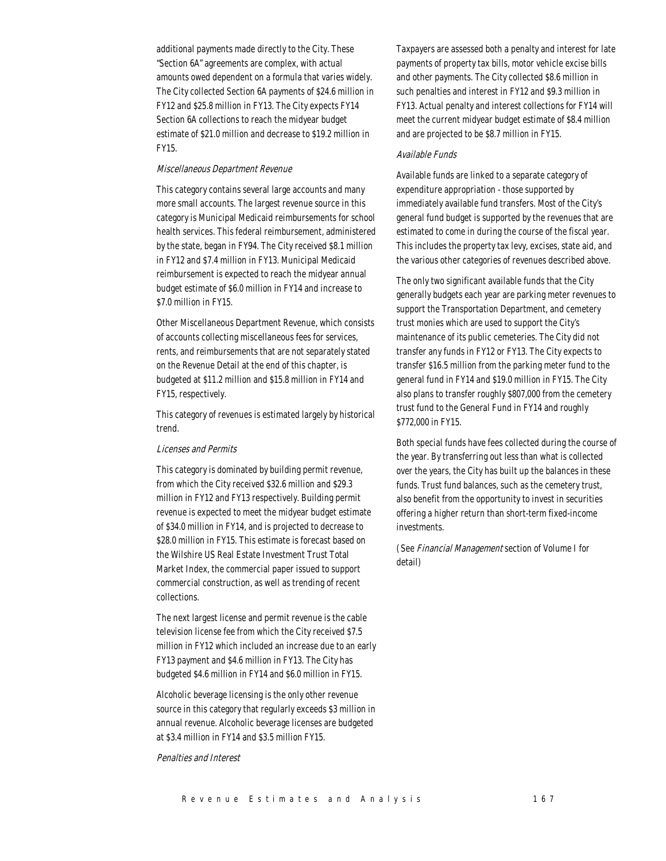additional payments made directly to the City. These "Section 6A" agreements are complex, with actual amounts owed dependent on a formula that varies widely. The City collected Section 6A payments of \$24.6 million in FY12 and \$25.8 million in FY13. The City expects FY14 Section 6A collections to reach the midyear budget estimate of \$21.0 million and decrease to \$19.2 million in FY15.

#### Miscellaneous Department Revenue

This category contains several large accounts and many more small accounts. The largest revenue source in this category is Municipal Medicaid reimbursements for school health services. This federal reimbursement, administered by the state, began in FY94. The City received \$8.1 million in FY12 and \$7.4 million in FY13. Municipal Medicaid reimbursement is expected to reach the midyear annual budget estimate of \$6.0 million in FY14 and increase to \$7.0 million in FY15.

Other Miscellaneous Department Revenue, which consists of accounts collecting miscellaneous fees for services, rents, and reimbursements that are not separately stated on the Revenue Detail at the end of this chapter, is budgeted at \$11.2 million and \$15.8 million in FY14 and FY15, respectively.

This category of revenues is estimated largely by historical trend.

#### Licenses and Permits

This category is dominated by building permit revenue, from which the City received \$32.6 million and \$29.3 million in FY12 and FY13 respectively. Building permit revenue is expected to meet the midyear budget estimate of \$34.0 million in FY14, and is projected to decrease to \$28.0 million in FY15. This estimate is forecast based on the Wilshire US Real Estate Investment Trust Total Market Index, the commercial paper issued to support commercial construction, as well as trending of recent collections.

The next largest license and permit revenue is the cable television license fee from which the City received \$7.5 million in FY12 which included an increase due to an early FY13 payment and \$4.6 million in FY13. The City has budgeted \$4.6 million in FY14 and \$6.0 million in FY15.

Alcoholic beverage licensing is the only other revenue source in this category that regularly exceeds \$3 million in annual revenue. Alcoholic beverage licenses are budgeted at \$3.4 million in FY14 and \$3.5 million FY15.

#### Penalties and Interest

Taxpayers are assessed both a penalty and interest for late payments of property tax bills, motor vehicle excise bills and other payments. The City collected \$8.6 million in such penalties and interest in FY12 and \$9.3 million in FY13. Actual penalty and interest collections for FY14 will meet the current midyear budget estimate of \$8.4 million and are projected to be \$8.7 million in FY15.

#### Available Funds

Available funds are linked to a separate category of expenditure appropriation - those supported by immediately available fund transfers. Most of the City's general fund budget is supported by the revenues that are estimated to come in during the course of the fiscal year. This includes the property tax levy, excises, state aid, and the various other categories of revenues described above.

The only two significant available funds that the City generally budgets each year are parking meter revenues to support the Transportation Department, and cemetery trust monies which are used to support the City's maintenance of its public cemeteries. The City did not transfer any funds in FY12 or FY13. The City expects to transfer \$16.5 million from the parking meter fund to the general fund in FY14 and \$19.0 million in FY15. The City also plans to transfer roughly \$807,000 from the cemetery trust fund to the General Fund in FY14 and roughly \$772,000 in FY15.

Both special funds have fees collected during the course of the year. By transferring out less than what is collected over the years, the City has built up the balances in these funds. Trust fund balances, such as the cemetery trust, also benefit from the opportunity to invest in securities offering a higher return than short-term fixed-income investments.

(See Financial Management section of Volume I for detail)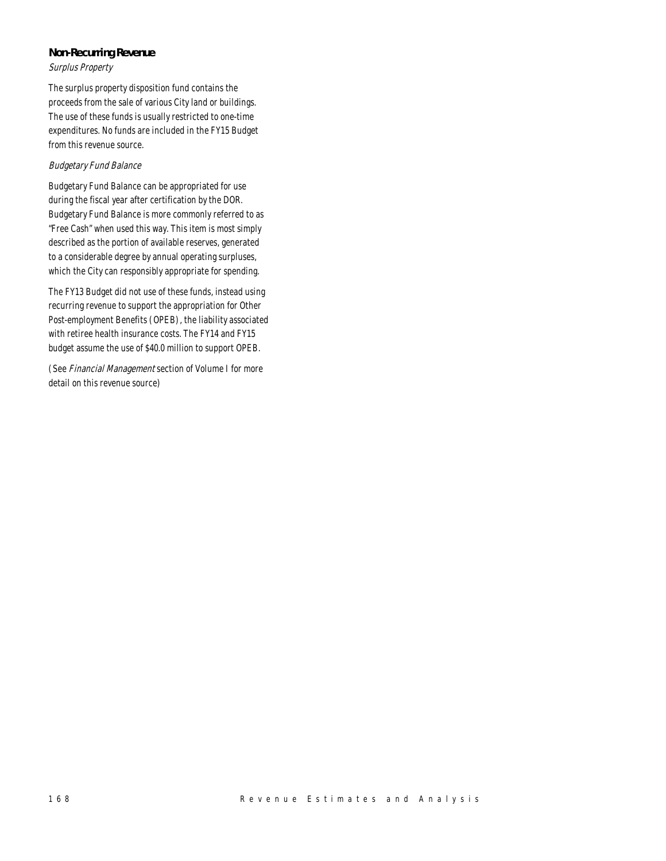# *Non-Recurring Revenue*

Surplus Property

The surplus property disposition fund contains the proceeds from the sale of various City land or buildings. The use of these funds is usually restricted to one-time expenditures. No funds are included in the FY15 Budget from this revenue source.

# Budgetary Fund Balance

Budgetary Fund Balance can be appropriated for use during the fiscal year after certification by the DOR. Budgetary Fund Balance is more commonly referred to as "Free Cash" when used this way. This item is most simply described as the portion of available reserves, generated to a considerable degree by annual operating surpluses, which the City can responsibly appropriate for spending.

The FY13 Budget did not use of these funds, instead using recurring revenue to support the appropriation for Other Post-employment Benefits (OPEB), the liability associated with retiree health insurance costs. The FY14 and FY15 budget assume the use of \$40.0 million to support OPEB.

(See Financial Management section of Volume I for more detail on this revenue source)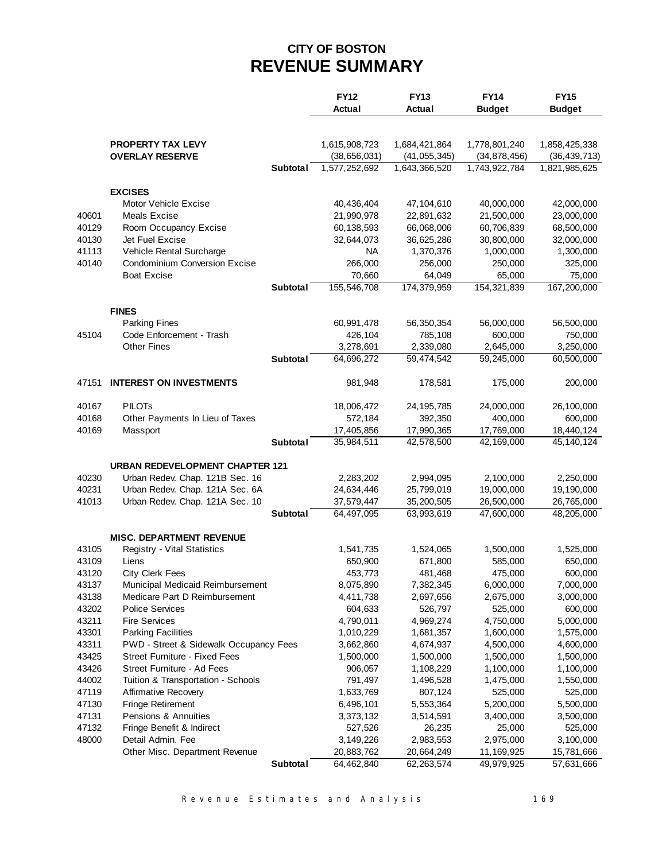# **CITY OF BOSTON REVENUE SUMMARY**

|                |                                                                         |                 | <b>FY12</b><br>Actual | <b>FY13</b><br>Actual  | <b>FY14</b><br><b>Budget</b> | <b>FY15</b><br><b>Budget</b> |
|----------------|-------------------------------------------------------------------------|-----------------|-----------------------|------------------------|------------------------------|------------------------------|
|                |                                                                         |                 |                       |                        |                              |                              |
|                | <b>PROPERTY TAX LEVY</b>                                                |                 | 1,615,908,723         | 1,684,421,864          | 1,778,801,240                | 1,858,425,338                |
|                | <b>OVERLAY RESERVE</b>                                                  |                 | (38, 656, 031)        | (41, 055, 345)         | (34, 878, 456)               | (36, 439, 713)               |
|                |                                                                         | <b>Subtotal</b> | 1,577,252,692         | 1,643,366,520          | 1,743,922,784                | 1,821,985,625                |
|                | <b>EXCISES</b>                                                          |                 |                       |                        |                              |                              |
|                | <b>Motor Vehicle Excise</b>                                             |                 | 40,436,404            | 47,104,610             | 40,000,000                   | 42,000,000                   |
| 40601          | Meals Excise                                                            |                 | 21,990,978            | 22,891,632             | 21,500,000                   | 23,000,000                   |
| 40129          | Room Occupancy Excise                                                   |                 | 60,138,593            | 66,068,006             | 60,706,839                   | 68,500,000                   |
| 40130          | Jet Fuel Excise                                                         |                 | 32,644,073            | 36,625,286             | 30,800,000                   | 32,000,000                   |
| 41113          | Vehicle Rental Surcharge                                                |                 | <b>NA</b>             | 1,370,376              | 1,000,000                    | 1,300,000                    |
| 40140          | <b>Condominium Conversion Excise</b>                                    |                 | 266,000               | 256,000                | 250,000                      | 325,000                      |
|                | <b>Boat Excise</b>                                                      |                 | 70,660                | 64,049                 | 65,000                       | 75,000                       |
|                |                                                                         | <b>Subtotal</b> | 155,546,708           | 174,379,959            | 154,321,839                  | 167,200,000                  |
|                | <b>FINES</b>                                                            |                 |                       |                        |                              |                              |
|                | <b>Parking Fines</b>                                                    |                 | 60,991,478            | 56,350,354             | 56,000,000                   | 56,500,000                   |
| 45104          | Code Enforcement - Trash                                                |                 | 426,104               | 785,108                | 600,000                      | 750,000                      |
|                | <b>Other Fines</b>                                                      |                 | 3,278,691             | 2,339,080              | 2,645,000                    | 3,250,000                    |
|                |                                                                         | <b>Subtotal</b> | 64,696,272            | 59,474,542             | 59,245,000                   | 60,500,000                   |
| 47151          | <b>INTEREST ON INVESTMENTS</b>                                          |                 | 981,948               | 178,581                | 175,000                      | 200,000                      |
| 40167          | <b>PILOTS</b>                                                           |                 | 18,006,472            | 24,195,785             | 24,000,000                   | 26,100,000                   |
| 40168          | Other Payments In Lieu of Taxes                                         |                 | 572,184               | 392,350                | 400,000                      | 600,000                      |
| 40169          | Massport                                                                |                 | 17,405,856            | 17,990,365             | 17,769,000                   | 18,440,124                   |
|                |                                                                         | <b>Subtotal</b> | 35,984,511            | 42,578,500             | 42,169,000                   | 45, 140, 124                 |
|                | <b>URBAN REDEVELOPMENT CHAPTER 121</b>                                  |                 |                       |                        |                              |                              |
| 40230          | Urban Redev. Chap. 121B Sec. 16                                         |                 | 2,283,202             | 2,994,095              | 2,100,000                    | 2,250,000                    |
| 40231          | Urban Redev. Chap. 121A Sec. 6A                                         |                 | 24,634,446            | 25,799,019             | 19,000,000                   | 19,190,000                   |
| 41013          | Urban Redev. Chap. 121A Sec. 10                                         |                 | 37,579,447            | 35,200,505             | 26,500,000                   | 26,765,000                   |
|                |                                                                         | <b>Subtotal</b> | 64,497,095            | 63,993,619             | 47,600,000                   | 48,205,000                   |
|                | <b>MISC. DEPARTMENT REVENUE</b>                                         |                 |                       |                        |                              |                              |
| 43105          | <b>Registry - Vital Statistics</b>                                      |                 | 1,541,735             | 1,524,065              | 1,500,000                    | 1,525,000                    |
| 43109          | Liens                                                                   |                 | 650,900               | 671,800                | 585,000                      | 650,000                      |
| 43120          | <b>City Clerk Fees</b>                                                  |                 | 453,773               | 481,468                | 475,000                      | 600,000                      |
| 43137          | Municipal Medicaid Reimbursement                                        |                 | 8,075,890             | 7,382,345              | 6,000,000                    | 7,000,000                    |
| 43138          | Medicare Part D Reimbursement                                           |                 | 4,411,738             | 2,697,656              | 2,675,000                    | 3,000,000                    |
| 43202          | <b>Police Services</b>                                                  |                 | 604,633               | 526,797                | 525,000                      | 600,000                      |
| 43211          | <b>Fire Services</b>                                                    |                 | 4,790,011             | 4,969,274              | 4,750,000                    | 5,000,000                    |
| 43301          | <b>Parking Facilities</b>                                               |                 | 1,010,229             | 1,681,357              | 1,600,000                    | 1,575,000                    |
| 43311          | PWD - Street & Sidewalk Occupancy Fees<br>Street Furniture - Fixed Fees |                 | 3,662,860             | 4,674,937              | 4,500,000                    | 4,600,000                    |
| 43425          | Street Furniture - Ad Fees                                              |                 | 1,500,000<br>906,057  | 1,500,000              | 1,500,000                    | 1,500,000                    |
| 43426<br>44002 | Tuition & Transportation - Schools                                      |                 | 791,497               | 1,108,229<br>1,496,528 | 1,100,000<br>1,475,000       | 1,100,000<br>1,550,000       |
| 47119          | Affirmative Recovery                                                    |                 | 1,633,769             | 807,124                | 525,000                      | 525,000                      |
| 47130          | <b>Fringe Retirement</b>                                                |                 | 6,496,101             | 5,553,364              | 5,200,000                    | 5,500,000                    |
| 47131          | Pensions & Annuities                                                    |                 | 3,373,132             | 3,514,591              | 3,400,000                    | 3,500,000                    |
| 47132          | Fringe Benefit & Indirect                                               |                 | 527,526               | 26,235                 | 25,000                       | 525,000                      |
| 48000          | Detail Admin. Fee                                                       |                 | 3,149,226             | 2,983,553              | 2,975,000                    | 3,100,000                    |
|                | Other Misc. Department Revenue                                          |                 | 20,883,762            | 20,664,249             | 11,169,925                   | 15,781,666                   |
|                |                                                                         | Subtotal        | 64,462,840            | 62,263,574             | 49,979,925                   | 57,631,666                   |